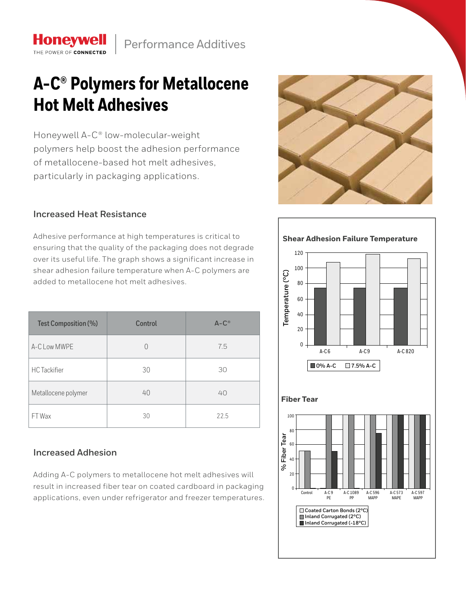## **A-C® Polymers for Metallocene Hot Melt Adhesives**

Honeywell A-C® low-molecular-weight polymers help boost the adhesion performance of metallocene-based hot melt adhesives, particularly in packaging applications.

## **Increased Heat Resistance**

**Honeywell** THE POWER OF CONNECTED

Adhesive performance at high temperatures is critical to ensuring that the quality of the packaging does not degrade over its useful life. The graph shows a significant increase in shear adhesion failure temperature when A-C polymers are added to metallocene hot melt adhesives.

| Test Composition (%) | Control | $A-C^{\circledcirc}$ |
|----------------------|---------|----------------------|
| A-C Low MWPE         | 0       | 7.5                  |
| <b>HC</b> Tackifier  | 30      | 30                   |
| Metallocene polymer  | 40      | 40                   |
| FT Wax               | 30      | 22.5                 |

## **Increased Adhesion**

Adding A-C polymers to metallocene hot melt adhesives will result in increased fiber tear on coated cardboard in packaging applications, even under refrigerator and freezer temperatures.